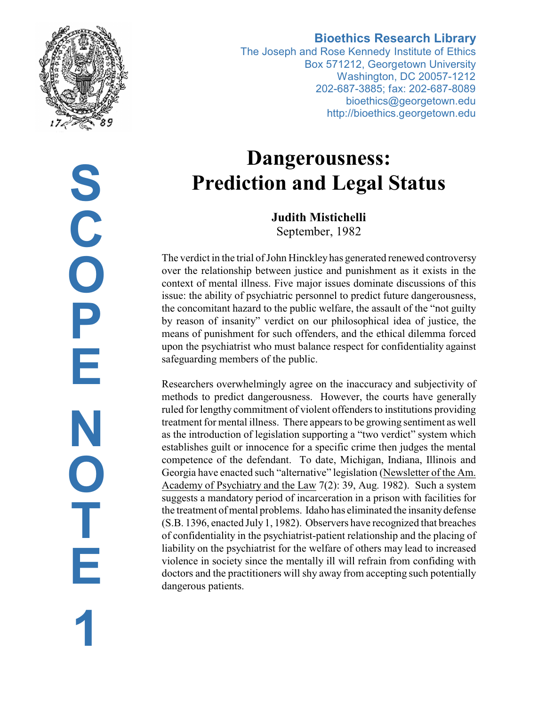

# **Bioethics Research Library**

The Joseph and Rose Kennedy Institute of Ethics Box 571212, Georgetown University Washington, DC 20057-1212 202-687-3885; fax: 202-687-8089 bioethics@georgetown.edu http://bioethics.georgetown.edu

# **Dangerousness: Prediction and Legal Status**

**Judith Mistichelli** September, 1982

The verdict in the trial of John Hinckleyhas generated renewed controversy over the relationship between justice and punishment as it exists in the context of mental illness. Five major issues dominate discussions of this issue: the ability of psychiatric personnel to predict future dangerousness, the concomitant hazard to the public welfare, the assault of the "not guilty by reason of insanity" verdict on our philosophical idea of justice, the means of punishment for such offenders, and the ethical dilemma forced upon the psychiatrist who must balance respect for confidentiality against safeguarding members of the public.

Researchers overwhelmingly agree on the inaccuracy and subjectivity of methods to predict dangerousness. However, the courts have generally ruled for lengthy commitment of violent offenders to institutions providing treatment for mental illness. There appears to be growing sentiment as well as the introduction of legislation supporting a "two verdict" system which establishes guilt or innocence for a specific crime then judges the mental competence of the defendant. To date, Michigan, Indiana, Illinois and Georgia have enacted such "alternative" legislation (Newsletter of the Am. Academy of Psychiatry and the Law 7(2): 39, Aug. 1982). Such a system suggests a mandatory period of incarceration in a prison with facilities for the treatment of mental problems. Idaho has eliminated the insanitydefense (S.B. 1396, enacted July 1, 1982). Observers have recognized that breaches of confidentiality in the psychiatrist-patient relationship and the placing of liability on the psychiatrist for the welfare of others may lead to increased violence in society since the mentally ill will refrain from confiding with doctors and the practitioners will shy away from accepting such potentially dangerous patients.

**S C O P E N O T E 1**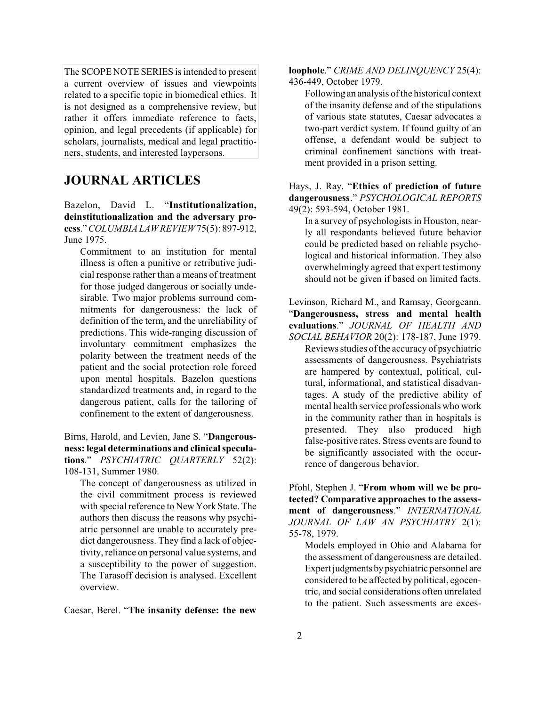The SCOPE NOTE SERIES is intended to present a current overview of issues and viewpoints related to a specific topic in biomedical ethics. It is not designed as a comprehensive review, but rather it offers immediate reference to facts, opinion, and legal precedents (if applicable) for scholars, journalists, medical and legal practitioners, students, and interested laypersons.

## **JOURNAL ARTICLES**

Bazelon, David L. "**Institutionalization, deinstitutionalization and the adversary process**."*COLUMBIA LAWREVIEW*75(5): 897-912, June 1975.

Commitment to an institution for mental illness is often a punitive or retributive judicial response rather than a means of treatment for those judged dangerous or socially undesirable. Two major problems surround commitments for dangerousness: the lack of definition of the term, and the unreliability of predictions. This wide-ranging discussion of involuntary commitment emphasizes the polarity between the treatment needs of the patient and the social protection role forced upon mental hospitals. Bazelon questions standardized treatments and, in regard to the dangerous patient, calls for the tailoring of confinement to the extent of dangerousness.

#### Birns, Harold, and Levien, Jane S. "**Dangerousness: legal determinations and clinicalspeculations**." *PSYCHIATRIC QUARTERLY* 52(2): 108-131, Summer 1980.

The concept of dangerousness as utilized in the civil commitment process is reviewed with special reference to New York State. The authors then discuss the reasons why psychiatric personnel are unable to accurately predict dangerousness. They find a lack of objectivity, reliance on personal value systems, and a susceptibility to the power of suggestion. The Tarasoff decision is analysed. Excellent overview.

Caesar, Berel. "**The insanity defense: the new**

**loophole**." *CRIME AND DELINQUENCY* 25(4): 436-449, October 1979.

Following an analysis ofthe historical context of the insanity defense and of the stipulations of various state statutes, Caesar advocates a two-part verdict system. If found guilty of an offense, a defendant would be subject to criminal confinement sanctions with treatment provided in a prison setting.

#### Hays, J. Ray. "**Ethics of prediction of future dangerousness**." *PSYCHOLOGICAL REPORTS* 49(2): 593-594, October 1981.

In a survey of psychologists in Houston, nearly all respondants believed future behavior could be predicted based on reliable psychological and historical information. They also overwhelmingly agreed that expert testimony should not be given if based on limited facts.

#### Levinson, Richard M., and Ramsay, Georgeann. "**Dangerousness, stress and mental health evaluations**." *JOURNAL OF HEALTH AND SOCIAL BEHAVIOR* 20(2): 178-187, June 1979.

Reviews studies ofthe accuracy of psychiatric assessments of dangerousness. Psychiatrists are hampered by contextual, political, cultural, informational, and statistical disadvantages. A study of the predictive ability of mental health service professionals who work in the community rather than in hospitals is presented. They also produced high false-positive rates. Stress events are found to be significantly associated with the occurrence of dangerous behavior.

Pfohl, Stephen J. "**From whom will we be protected? Comparative approaches to the assessment of dangerousness**." *INTERNATIONAL JOURNAL OF LAW AN PSYCHIATRY* 2(1): 55-78, 1979.

Models employed in Ohio and Alabama for the assessment of dangerousness are detailed. Expertjudgments by psychiatric personnel are considered to be affected by political, egocentric, and social considerations often unrelated to the patient. Such assessments are exces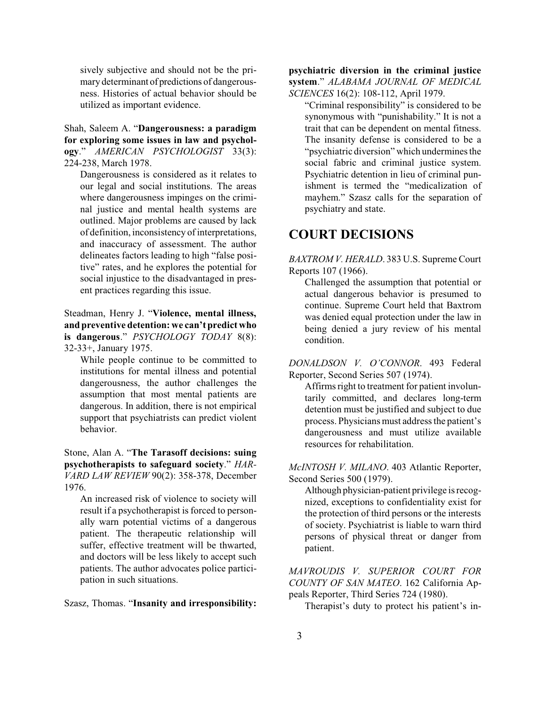sively subjective and should not be the primary determinant of predictions of dangerousness. Histories of actual behavior should be utilized as important evidence.

Shah, Saleem A. "**Dangerousness: a paradigm for exploring some issues in law and psychology**." *AMERICAN PSYCHOLOGIST* 33(3): 224-238, March 1978.

Dangerousness is considered as it relates to our legal and social institutions. The areas where dangerousness impinges on the criminal justice and mental health systems are outlined. Major problems are caused by lack of definition, inconsistency of interpretations, and inaccuracy of assessment. The author delineates factors leading to high "false positive" rates, and he explores the potential for social injustice to the disadvantaged in present practices regarding this issue.

Steadman, Henry J. "**Violence, mental illness, and preventive detention: we can't predict who is dangerous**." *PSYCHOLOGY TODAY* 8(8): 32-33+, January 1975.

While people continue to be committed to institutions for mental illness and potential dangerousness, the author challenges the assumption that most mental patients are dangerous. In addition, there is not empirical support that psychiatrists can predict violent behavior.

Stone, Alan A. "**The Tarasoff decisions: suing psychotherapists to safeguard society**." *HAR-VARD LAW REVIEW* 90(2): 358-378, December 1976.

An increased risk of violence to society will result if a psychotherapist is forced to personally warn potential victims of a dangerous patient. The therapeutic relationship will suffer, effective treatment will be thwarted, and doctors will be less likely to accept such patients. The author advocates police participation in such situations.

Szasz, Thomas. "**Insanity and irresponsibility:**

**psychiatric diversion in the criminal justice system**." *ALABAMA JOURNAL OF MEDICAL SCIENCES* 16(2): 108-112, April 1979.

"Criminal responsibility" is considered to be synonymous with "punishability." It is not a trait that can be dependent on mental fitness. The insanity defense is considered to be a "psychiatric diversion" which undermines the social fabric and criminal justice system. Psychiatric detention in lieu of criminal punishment is termed the "medicalization of mayhem." Szasz calls for the separation of psychiatry and state.

### **COURT DECISIONS**

*BAXTROM V. HERALD*. 383 U.S. Supreme Court Reports 107 (1966).

Challenged the assumption that potential or actual dangerous behavior is presumed to continue. Supreme Court held that Baxtrom was denied equal protection under the law in being denied a jury review of his mental condition.

*DONALDSON V. O'CONNOR*. 493 Federal Reporter, Second Series 507 (1974).

Affirms right to treatment for patient involuntarily committed, and declares long-term detention must be justified and subject to due process. Physicians must address the patient's dangerousness and must utilize available resources for rehabilitation.

*McINTOSH V. MILANO*. 403 Atlantic Reporter, Second Series 500 (1979).

Although physician-patient privilege is recognized, exceptions to confidentiality exist for the protection of third persons or the interests of society. Psychiatrist is liable to warn third persons of physical threat or danger from patient.

*MAVROUDIS V. SUPERIOR COURT FOR COUNTY OF SAN MATEO*. 162 California Appeals Reporter, Third Series 724 (1980).

Therapist's duty to protect his patient's in-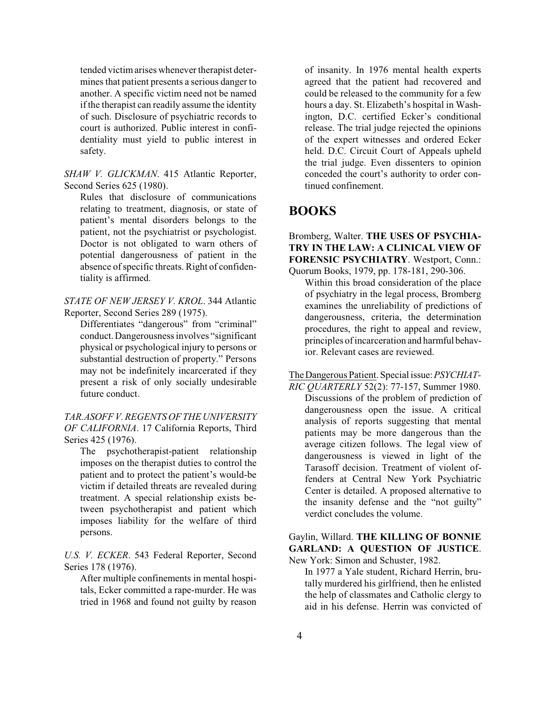tended victim arises whenever therapist determines that patient presents a serious danger to another. A specific victim need not be named if the therapist can readily assume the identity of such. Disclosure of psychiatric records to court is authorized. Public interest in confidentiality must yield to public interest in safety.

*SHAW V. GLICKMAN*. 415 Atlantic Reporter, Second Series 625 (1980).

Rules that disclosure of communications relating to treatment, diagnosis, or state of patient's mental disorders belongs to the patient, not the psychiatrist or psychologist. Doctor is not obligated to warn others of potential dangerousness of patient in the absence of specific threats. Right of confidentiality is affirmed.

*STATE OF NEW JERSEY V. KROL*. 344 Atlantic Reporter, Second Series 289 (1975).

Differentiates "dangerous" from "criminal" conduct. Dangerousness involves "significant physical or psychological injury to persons or substantial destruction of property." Persons may not be indefinitely incarcerated if they present a risk of only socially undesirable future conduct.

*TAR.ASOFF V. REGENTS OF THE UNIVERSITY OF CALIFORNIA*. 17 California Reports, Third Series 425 (1976).

The psychotherapist-patient relationship imposes on the therapist duties to control the patient and to protect the patient's would-be victim if detailed threats are revealed during treatment. A special relationship exists between psychotherapist and patient which imposes liability for the welfare of third persons.

*U.S. V. ECKER*. 543 Federal Reporter, Second Series 178 (1976).

After multiple confinements in mental hospitals, Ecker committed a rape-murder. He was tried in 1968 and found not guilty by reason of insanity. In 1976 mental health experts agreed that the patient had recovered and could be released to the community for a few hours a day. St. Elizabeth's hospital in Washington, D.C. certified Ecker's conditional release. The trial judge rejected the opinions of the expert witnesses and ordered Ecker held. D.C. Circuit Court of Appeals upheld the trial judge. Even dissenters to opinion conceded the court's authority to order continued confinement.

# **BOOKS**

Bromberg, Walter. **THE USES OF PSYCHIA-TRY IN THE LAW: A CLINICAL VIEW OF FORENSIC PSYCHIATRY**. Westport, Conn.: Quorum Books, 1979, pp. 178-181, 290-306.

Within this broad consideration of the place of psychiatry in the legal process, Bromberg examines the unreliability of predictions of dangerousness, criteria, the determination procedures, the right to appeal and review, principles ofincarceration and harmful behavior. Relevant cases are reviewed.

TheDangerous Patient. Special issue:*PSYCHIAT-*

*RIC QUARTERLY* 52(2): 77-157, Summer 1980. Discussions of the problem of prediction of dangerousness open the issue. A critical analysis of reports suggesting that mental patients may be more dangerous than the average citizen follows. The legal view of dangerousness is viewed in light of the Tarasoff decision. Treatment of violent offenders at Central New York Psychiatric Center is detailed. A proposed alternative to the insanity defense and the "not guilty" verdict concludes the volume.

Gaylin, Willard. **THE KILLING OF BONNIE GARLAND: A QUESTION OF JUSTICE**. New York: Simon and Schuster, 1982.

In 1977 a Yale student, Richard Herrin, brutally murdered his girlfriend, then he enlisted the help of classmates and Catholic clergy to aid in his defense. Herrin was convicted of